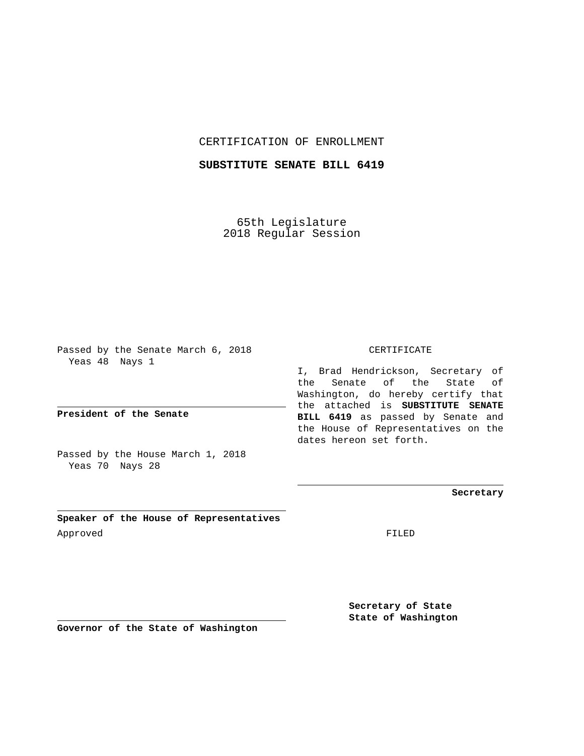CERTIFICATION OF ENROLLMENT

**SUBSTITUTE SENATE BILL 6419**

65th Legislature 2018 Regular Session

Passed by the Senate March 6, 2018 Yeas 48 Nays 1

**President of the Senate**

Passed by the House March 1, 2018 Yeas 70 Nays 28

**Speaker of the House of Representatives** Approved FILED

CERTIFICATE

I, Brad Hendrickson, Secretary of the Senate of the State of Washington, do hereby certify that the attached is **SUBSTITUTE SENATE BILL 6419** as passed by Senate and the House of Representatives on the dates hereon set forth.

**Secretary**

**Secretary of State State of Washington**

**Governor of the State of Washington**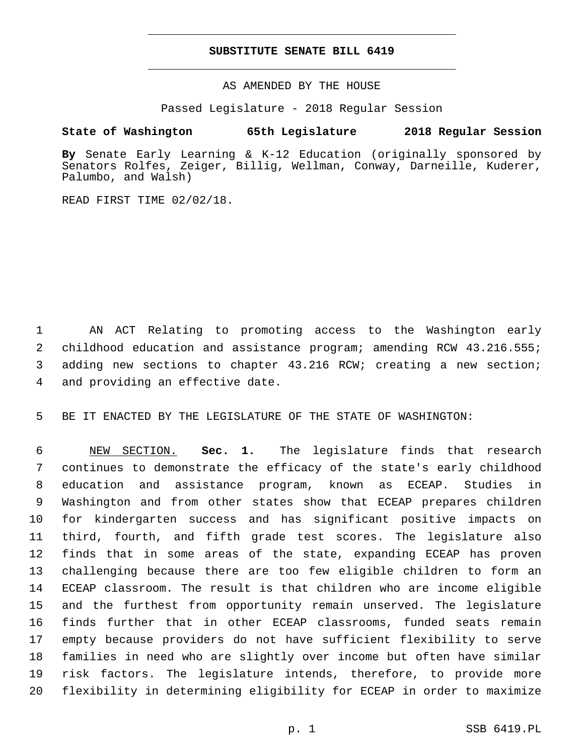## **SUBSTITUTE SENATE BILL 6419**

AS AMENDED BY THE HOUSE

Passed Legislature - 2018 Regular Session

## **State of Washington 65th Legislature 2018 Regular Session**

**By** Senate Early Learning & K-12 Education (originally sponsored by Senators Rolfes, Zeiger, Billig, Wellman, Conway, Darneille, Kuderer, Palumbo, and Walsh)

READ FIRST TIME 02/02/18.

 AN ACT Relating to promoting access to the Washington early childhood education and assistance program; amending RCW 43.216.555; adding new sections to chapter 43.216 RCW; creating a new section; 4 and providing an effective date.

BE IT ENACTED BY THE LEGISLATURE OF THE STATE OF WASHINGTON:

 NEW SECTION. **Sec. 1.** The legislature finds that research continues to demonstrate the efficacy of the state's early childhood education and assistance program, known as ECEAP. Studies in Washington and from other states show that ECEAP prepares children for kindergarten success and has significant positive impacts on third, fourth, and fifth grade test scores. The legislature also finds that in some areas of the state, expanding ECEAP has proven challenging because there are too few eligible children to form an ECEAP classroom. The result is that children who are income eligible and the furthest from opportunity remain unserved. The legislature finds further that in other ECEAP classrooms, funded seats remain empty because providers do not have sufficient flexibility to serve families in need who are slightly over income but often have similar risk factors. The legislature intends, therefore, to provide more flexibility in determining eligibility for ECEAP in order to maximize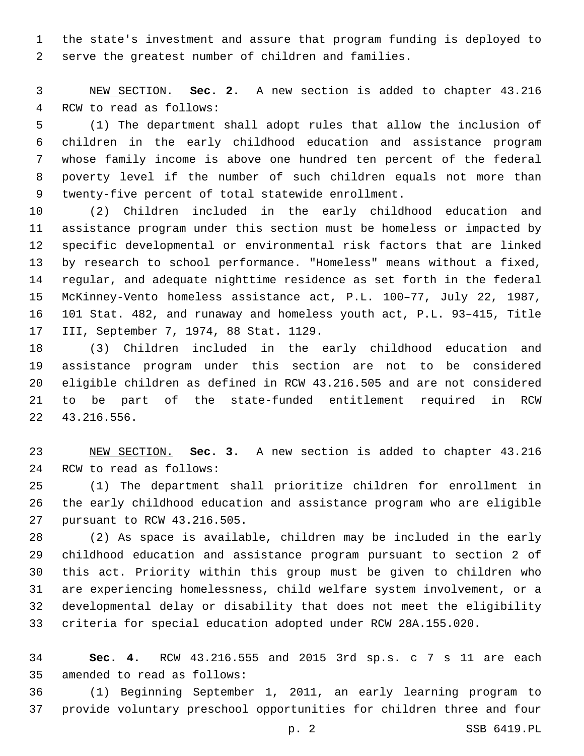the state's investment and assure that program funding is deployed to serve the greatest number of children and families.

 NEW SECTION. **Sec. 2.** A new section is added to chapter 43.216 4 RCW to read as follows:

 (1) The department shall adopt rules that allow the inclusion of children in the early childhood education and assistance program whose family income is above one hundred ten percent of the federal poverty level if the number of such children equals not more than 9 twenty-five percent of total statewide enrollment.

 (2) Children included in the early childhood education and assistance program under this section must be homeless or impacted by specific developmental or environmental risk factors that are linked by research to school performance. "Homeless" means without a fixed, regular, and adequate nighttime residence as set forth in the federal McKinney-Vento homeless assistance act, P.L. 100–77, July 22, 1987, 101 Stat. 482, and runaway and homeless youth act, P.L. 93–415, Title 17 III, September 7, 1974, 88 Stat. 1129.

 (3) Children included in the early childhood education and assistance program under this section are not to be considered eligible children as defined in RCW 43.216.505 and are not considered to be part of the state-funded entitlement required in RCW 43.216.556.22

 NEW SECTION. **Sec. 3.** A new section is added to chapter 43.216 24 RCW to read as follows:

 (1) The department shall prioritize children for enrollment in the early childhood education and assistance program who are eligible 27 pursuant to RCW 43.216.505.

 (2) As space is available, children may be included in the early childhood education and assistance program pursuant to section 2 of this act. Priority within this group must be given to children who are experiencing homelessness, child welfare system involvement, or a developmental delay or disability that does not meet the eligibility criteria for special education adopted under RCW 28A.155.020.

 **Sec. 4.** RCW 43.216.555 and 2015 3rd sp.s. c 7 s 11 are each 35 amended to read as follows:

 (1) Beginning September 1, 2011, an early learning program to provide voluntary preschool opportunities for children three and four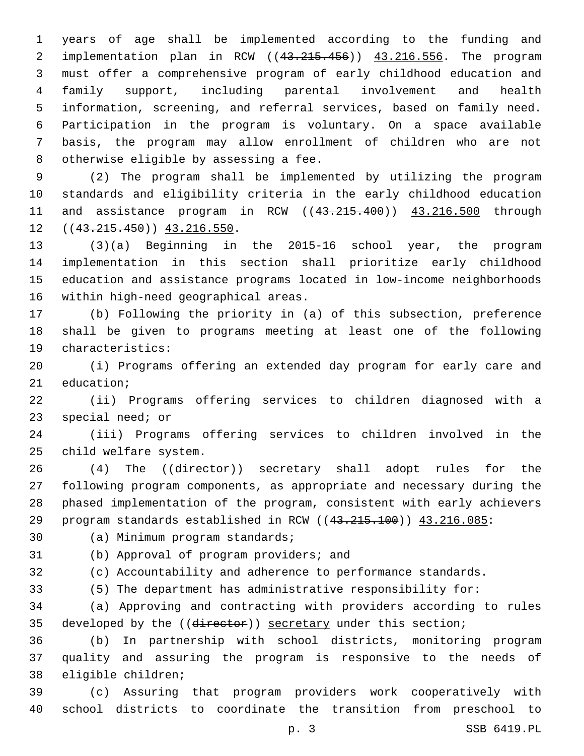years of age shall be implemented according to the funding and implementation plan in RCW ((43.215.456)) 43.216.556. The program must offer a comprehensive program of early childhood education and family support, including parental involvement and health information, screening, and referral services, based on family need. Participation in the program is voluntary. On a space available basis, the program may allow enrollment of children who are not 8 otherwise eligible by assessing a fee.

 (2) The program shall be implemented by utilizing the program standards and eligibility criteria in the early childhood education 11 and assistance program in RCW ((43.215.400)) 43.216.500 through  $((43.215.450))$   $43.216.550$ .

 (3)(a) Beginning in the 2015-16 school year, the program implementation in this section shall prioritize early childhood education and assistance programs located in low-income neighborhoods 16 within high-need geographical areas.

 (b) Following the priority in (a) of this subsection, preference shall be given to programs meeting at least one of the following 19 characteristics:

 (i) Programs offering an extended day program for early care and 21 education;

 (ii) Programs offering services to children diagnosed with a 23 special need; or

 (iii) Programs offering services to children involved in the 25 child welfare system.

26 (4) The ((director)) secretary shall adopt rules for the following program components, as appropriate and necessary during the phased implementation of the program, consistent with early achievers 29 program standards established in RCW ((43.215.100)) 43.216.085:

30 (a) Minimum program standards;

31 (b) Approval of program providers; and

(c) Accountability and adherence to performance standards.

(5) The department has administrative responsibility for:

 (a) Approving and contracting with providers according to rules 35 developed by the ((director)) secretary under this section;

 (b) In partnership with school districts, monitoring program quality and assuring the program is responsive to the needs of 38 eligible children;

 (c) Assuring that program providers work cooperatively with school districts to coordinate the transition from preschool to